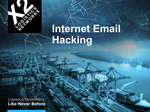

# **Internet Email Hacking**

**Logistics Networking Like Never Before**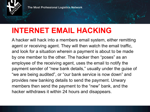

The Most Professional Logistics Network

## **INTERNET EMAIL HACKING**

A hacker will hack into a members email system, either remitting agent or receiving agent. They will then watch the email traffic, and look for a situation wherein a payment is about to be made by one member to the other. The hacker then "poses" as an employee of the receiving agent, uses the email to notify the payment sender of "new bank details," usually under the guise of "we are being audited", or "our bank service is now down" and provides new banking details to send the payment. Unwary members then send the payment to the "new" bank, and the hacker withdraws it within 24 hours and disappears.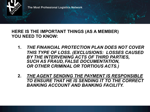

#### **HERE IS THE IMPORTANT THINGS (AS A MEMBER) YOU NEED TO KNOW:**

- **1.** *THE FINANCIAL PROTECTION PLAN DOES NOT COVER THIS TYPE OF LOSS. (EXCLUSIONS: LOSSES CAUSED BY THE INTERVENING ACTS OF THIRD PARTIES, SUCH AS FRAUD, FALSE DOCUMENTATION, OR OTHER CRIMINAL OR TORTIOUS ACTS.)*
- **2.** *THE AGENT SENDING THE PAYMENT IS RESPONSIBLE TO ENSURE THAT HE IS SENDING IT TO THE CORRECT BANKING ACCOUNT AND BANKING FACILITY.*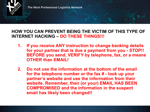

The Most Professional Logistics Network

#### **HOW YOU CAN PREVENT BEING THE VICTIM OF THIS TYPE OF INTERNET HACKING – DO THESE THINGS!!!**

- **1. If you receive ANY instruction to change banking details for your partner that is due a payment from you - STOP!! BEFORE you send, VERIFY by telephone, fax, or a means OTHER than EMAIL!**
- **2. Do not use the information at the bottom of the email for the telephone number or the fax # - look up your partner's website and use the information from their website. Remember, their (or your) EMAIL HAS BEEN COMPROMISED and the information in the suspect email has likely been changed!!**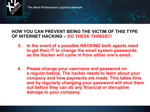

The Most Professional Logistics Network

#### **HOW YOU CAN PREVENT BEING THE VICTIM OF THIS TYPE OF INTERNET HACKING – DO THESE THINGS!!!**

- **3. In the event of a possible HACKING both agents need to get their IT to change the email system passwords as the Hacker will come in from either one's email.**
- **4. Please change your username and password on a regular basics. The hacker needs to learn about your company and how payments are made. This takes time and by regularly changing your password will shut them out before they can do any financial or disruptive damage to your company.**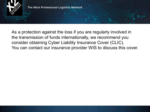

As a protection against the loss if you are regularly involved in the transmission of funds internationally, we recommend you consider obtaining Cyber Liability Insurance Cover (CLIC). You can contact our insurance provider WIS to discuss this cover.